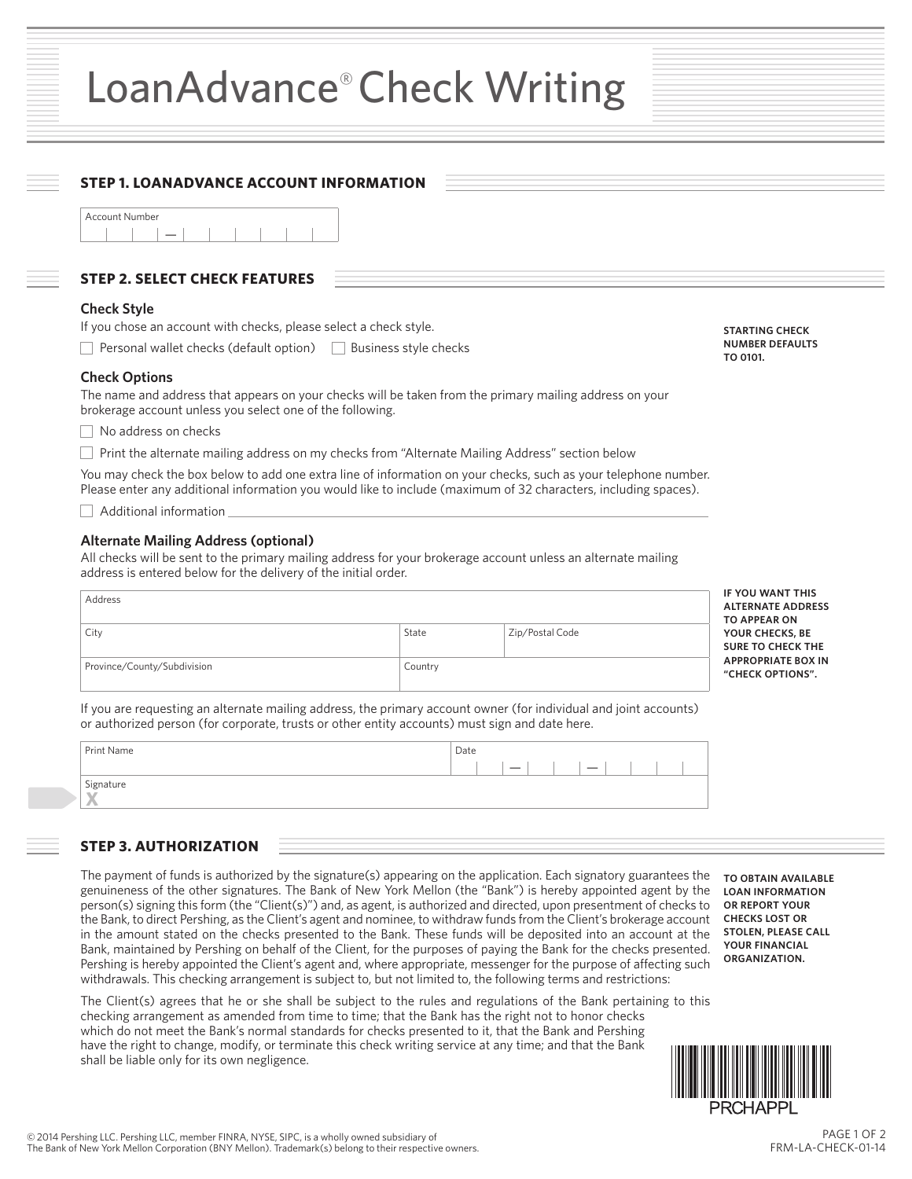## LoanAdvance® Check Writing

| <b>STEP 2. SELECT CHECK FEATURES</b>                                                                                                                                                                                                       |         |                 |                                                                           |
|--------------------------------------------------------------------------------------------------------------------------------------------------------------------------------------------------------------------------------------------|---------|-----------------|---------------------------------------------------------------------------|
| <b>Check Style</b>                                                                                                                                                                                                                         |         |                 |                                                                           |
| If you chose an account with checks, please select a check style.                                                                                                                                                                          |         |                 | <b>STARTING CHECK</b>                                                     |
| Personal wallet checks (default option) □ Business style checks                                                                                                                                                                            |         |                 | <b>NUMBER DEFAULTS</b><br>TO 0101.                                        |
| <b>Check Options</b><br>The name and address that appears on your checks will be taken from the primary mailing address on your<br>brokerage account unless you select one of the following.                                               |         |                 |                                                                           |
| No address on checks                                                                                                                                                                                                                       |         |                 |                                                                           |
| Print the alternate mailing address on my checks from "Alternate Mailing Address" section below                                                                                                                                            |         |                 |                                                                           |
| You may check the box below to add one extra line of information on your checks, such as your telephone number.<br>Please enter any additional information you would like to include (maximum of 32 characters, including spaces).         |         |                 |                                                                           |
| Additional information                                                                                                                                                                                                                     |         |                 |                                                                           |
|                                                                                                                                                                                                                                            |         |                 |                                                                           |
| <b>Alternate Mailing Address (optional)</b><br>All checks will be sent to the primary mailing address for your brokerage account unless an alternate mailing<br>address is entered below for the delivery of the initial order.<br>Address |         |                 | IF YOU WANT THIS<br><b>ALTERNATE ADDRESS</b>                              |
| City                                                                                                                                                                                                                                       | State   | Zip/Postal Code | <b>TO APPEAR ON</b><br>YOUR CHECKS, BE                                    |
| Province/County/Subdivision                                                                                                                                                                                                                | Country |                 | <b>SURE TO CHECK THE</b><br><b>APPROPRIATE BOX IN</b><br>"CHECK OPTIONS". |
| If you are requesting an alternate mailing address, the primary account owner (for individual and joint accounts)<br>or authorized person (for corporate, trusts or other entity accounts) must sign and date here.<br>Print Name          |         | Date            |                                                                           |
| Signature                                                                                                                                                                                                                                  |         |                 |                                                                           |

genuineness of the other signatures. The Bank of New York Mellon (the "Bank") is hereby appointed agent by the **LOAN INFORMATION**  person(s) signing this form (the "Client(s)") and, as agent, is authorized and directed, upon presentment of checks to the Bank, to direct Pershing, as the Client's agent and nominee, to withdraw funds from the Client's brokerage account in the amount stated on the checks presented to the Bank. These funds will be deposited into an account at the Bank, maintained by Pershing on behalf of the Client, for the purposes of paying the Bank for the checks presented. Pershing is hereby appointed the Client's agent and, where appropriate, messenger for the purpose of affecting such withdrawals. This checking arrangement is subject to, but not limited to, the following terms and restrictions:

The Client(s) agrees that he or she shall be subject to the rules and regulations of the Bank pertaining to this checking arrangement as amended from time to time; that the Bank has the right not to honor checks which do not meet the Bank's normal standards for checks presented to it, that the Bank and Pershing have the right to change, modify, or terminate this check writing service at any time; and that the Bank shall be liable only for its own negligence.

**OR REPORT YOUR CHECKS LOST OR STOLEN, PLEASE CALL YOUR FINANCIAL ORGANIZATION.**



PAGE 1 OF 2 FRM-LA-CHECK-01-14